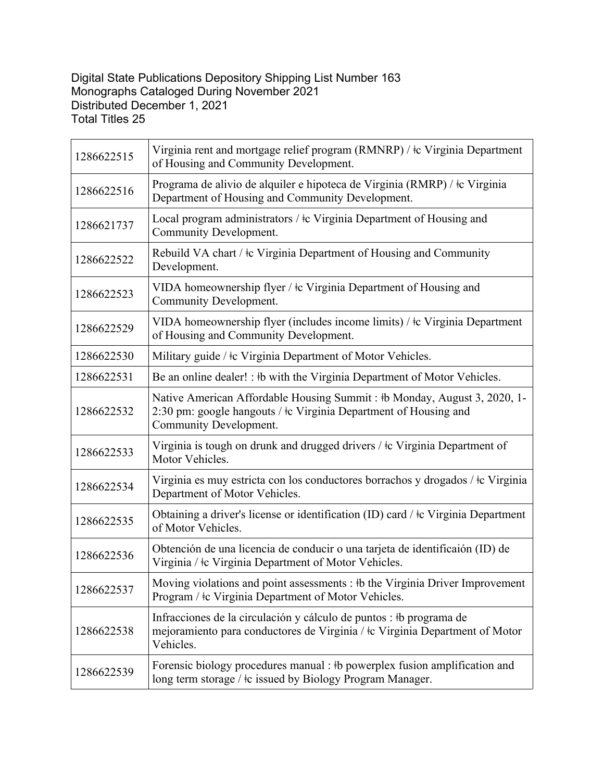## Digital State Publications Depository Shipping List Number 163 Monographs Cataloged During November 2021 Distributed December 1, 2021 Total Titles 25

| 1286622515 | Virginia rent and mortgage relief program (RMNRP) / $\&$ Virginia Department<br>of Housing and Community Development.                                                       |
|------------|-----------------------------------------------------------------------------------------------------------------------------------------------------------------------------|
| 1286622516 | Programa de alivio de alquiler e hipoteca de Virginia (RMRP) / $\pm c$ Virginia<br>Department of Housing and Community Development.                                         |
| 1286621737 | Local program administrators / $\pm c$ Virginia Department of Housing and<br>Community Development.                                                                         |
| 1286622522 | Rebuild VA chart / $\pm c$ Virginia Department of Housing and Community<br>Development.                                                                                     |
| 1286622523 | VIDA homeownership flyer / $\pm c$ Virginia Department of Housing and<br>Community Development.                                                                             |
| 1286622529 | VIDA homeownership flyer (includes income limits) / $\pm c$ Virginia Department<br>of Housing and Community Development.                                                    |
| 1286622530 | Military guide / $\pm c$ Virginia Department of Motor Vehicles.                                                                                                             |
| 1286622531 | Be an online dealer! : #b with the Virginia Department of Motor Vehicles.                                                                                                   |
| 1286622532 | Native American Affordable Housing Summit: #b Monday, August 3, 2020, 1-<br>2:30 pm: google hangouts / $\pm$ c Virginia Department of Housing and<br>Community Development. |
| 1286622533 | Virginia is tough on drunk and drugged drivers / $\pm$ Virginia Department of<br>Motor Vehicles.                                                                            |
| 1286622534 | Virginia es muy estricta con los conductores borrachos y drogados / + c Virginia<br>Department of Motor Vehicles.                                                           |
| 1286622535 | Obtaining a driver's license or identification (ID) card / $\pm c$ Virginia Department<br>of Motor Vehicles.                                                                |
| 1286622536 | Obtención de una licencia de conducir o una tarjeta de identificaión (ID) de<br>Virginia / $\pm c$ Virginia Department of Motor Vehicles.                                   |
| 1286622537 | Moving violations and point assessments : #b the Virginia Driver Improvement<br>Program / $\pm c$ Virginia Department of Motor Vehicles.                                    |
| 1286622538 | Infracciones de la circulación y cálculo de puntos : #b programa de<br>mejoramiento para conductores de Virginia / + cVirginia Department of Motor<br>Vehicles.             |
| 1286622539 | Forensic biology procedures manual : #b powerplex fusion amplification and<br>long term storage / $\pm c$ issued by Biology Program Manager.                                |